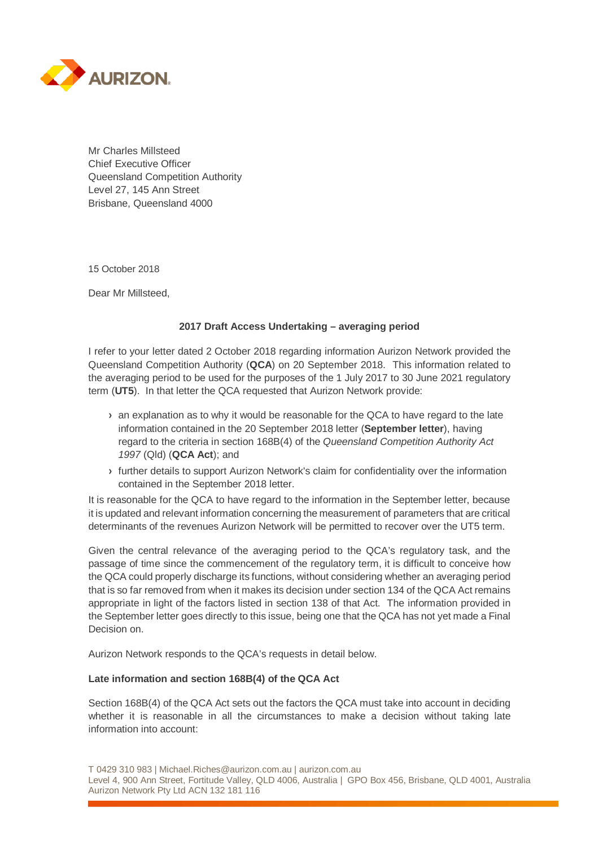

Mr Charles Millsteed Chief Executive Officer Queensland Competition Authority Level 27, 145 Ann Street Brisbane, Queensland 4000

15 October 2018

Dear Mr Millsteed,

#### **2017 Draft Access Undertaking – averaging period**

I refer to your letter dated 2 October 2018 regarding information Aurizon Network provided the Queensland Competition Authority (**QCA**) on 20 September 2018. This information related to the averaging period to be used for the purposes of the 1 July 2017 to 30 June 2021 regulatory term (**UT5**). In that letter the QCA requested that Aurizon Network provide:

- **›** an explanation as to why it would be reasonable for the QCA to have regard to the late information contained in the 20 September 2018 letter (**September letter**), having regard to the criteria in section 168B(4) of the *Queensland Competition Authority Act 1997* (Qld) (**QCA Act**); and
- **›** further details to support Aurizon Network's claim for confidentiality over the information contained in the September 2018 letter.

It is reasonable for the QCA to have regard to the information in the September letter, because it is updated and relevant information concerning the measurement of parameters that are critical determinants of the revenues Aurizon Network will be permitted to recover over the UT5 term.

Given the central relevance of the averaging period to the QCA's regulatory task, and the passage of time since the commencement of the regulatory term, it is difficult to conceive how the QCA could properly discharge its functions, without considering whether an averaging period that is so far removed from when it makes its decision under section 134 of the QCA Act remains appropriate in light of the factors listed in section 138 of that Act. The information provided in the September letter goes directly to this issue, being one that the QCA has not yet made a Final Decision on.

Aurizon Network responds to the QCA's requests in detail below.

#### **Late information and section 168B(4) of the QCA Act**

Section 168B(4) of the QCA Act sets out the factors the QCA must take into account in deciding whether it is reasonable in all the circumstances to make a decision without taking late information into account:

T 0429 310 983 | Michael.Riches@aurizon.com.au | aurizon.com.au Level 4, 900 Ann Street, Fortitude Valley, QLD 4006, Australia | GPO Box 456, Brisbane, QLD 4001, Australia Aurizon Network Pty Ltd ACN 132 181 116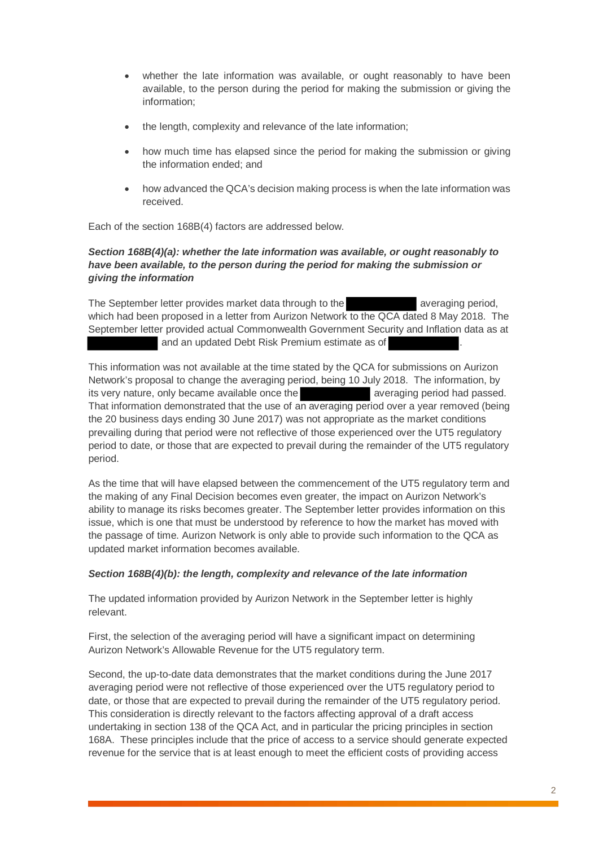- whether the late information was available, or ought reasonably to have been available, to the person during the period for making the submission or giving the information;
- the length, complexity and relevance of the late information;
- how much time has elapsed since the period for making the submission or giving the information ended; and
- how advanced the QCA's decision making process is when the late information was received.

Each of the section 168B(4) factors are addressed below.

# *Section 168B(4)(a): whether the late information was available, or ought reasonably to have been available, to the person during the period for making the submission or giving the information*

The September letter provides market data through to the averaging period, which had been proposed in a letter from Aurizon Network to the QCA dated 8 May 2018. The September letter provided actual Commonwealth Government Security and Inflation data as at and an updated Debt Risk Premium estimate as of

This information was not available at the time stated by the QCA for submissions on Aurizon Network's proposal to change the averaging period, being 10 July 2018. The information, by its very nature, only became available once the averaging period had passed. That information demonstrated that the use of an averaging period over a year removed (being the 20 business days ending 30 June 2017) was not appropriate as the market conditions prevailing during that period were not reflective of those experienced over the UT5 regulatory period to date, or those that are expected to prevail during the remainder of the UT5 regulatory period.

As the time that will have elapsed between the commencement of the UT5 regulatory term and the making of any Final Decision becomes even greater, the impact on Aurizon Network's ability to manage its risks becomes greater. The September letter provides information on this issue, which is one that must be understood by reference to how the market has moved with the passage of time. Aurizon Network is only able to provide such information to the QCA as updated market information becomes available.

# *Section 168B(4)(b): the length, complexity and relevance of the late information*

The updated information provided by Aurizon Network in the September letter is highly relevant.

First, the selection of the averaging period will have a significant impact on determining Aurizon Network's Allowable Revenue for the UT5 regulatory term.

Second, the up-to-date data demonstrates that the market conditions during the June 2017 averaging period were not reflective of those experienced over the UT5 regulatory period to date, or those that are expected to prevail during the remainder of the UT5 regulatory period. This consideration is directly relevant to the factors affecting approval of a draft access undertaking in section 138 of the QCA Act, and in particular the pricing principles in section 168A. These principles include that the price of access to a service should generate expected revenue for the service that is at least enough to meet the efficient costs of providing access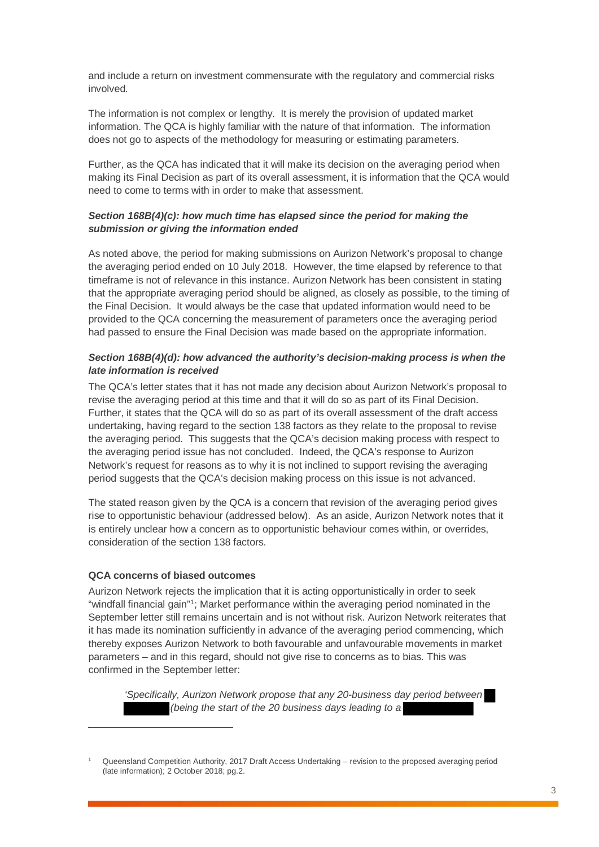and include a return on investment commensurate with the regulatory and commercial risks involved.

The information is not complex or lengthy. It is merely the provision of updated market information. The QCA is highly familiar with the nature of that information. The information does not go to aspects of the methodology for measuring or estimating parameters.

Further, as the QCA has indicated that it will make its decision on the averaging period when making its Final Decision as part of its overall assessment, it is information that the QCA would need to come to terms with in order to make that assessment.

### *Section 168B(4)(c): how much time has elapsed since the period for making the submission or giving the information ended*

As noted above, the period for making submissions on Aurizon Network's proposal to change the averaging period ended on 10 July 2018. However, the time elapsed by reference to that timeframe is not of relevance in this instance. Aurizon Network has been consistent in stating that the appropriate averaging period should be aligned, as closely as possible, to the timing of the Final Decision. It would always be the case that updated information would need to be provided to the QCA concerning the measurement of parameters once the averaging period had passed to ensure the Final Decision was made based on the appropriate information.

### *Section 168B(4)(d): how advanced the authority's decision-making process is when the late information is received*

The QCA's letter states that it has not made any decision about Aurizon Network's proposal to revise the averaging period at this time and that it will do so as part of its Final Decision. Further, it states that the QCA will do so as part of its overall assessment of the draft access undertaking, having regard to the section 138 factors as they relate to the proposal to revise the averaging period. This suggests that the QCA's decision making process with respect to the averaging period issue has not concluded. Indeed, the QCA's response to Aurizon Network's request for reasons as to why it is not inclined to support revising the averaging period suggests that the QCA's decision making process on this issue is not advanced.

The stated reason given by the QCA is a concern that revision of the averaging period gives rise to opportunistic behaviour (addressed below). As an aside, Aurizon Network notes that it is entirely unclear how a concern as to opportunistic behaviour comes within, or overrides, consideration of the section 138 factors.

#### **QCA concerns of biased outcomes**

 $\overline{a}$ 

Aurizon Network rejects the implication that it is acting opportunistically in order to seek "windfall financial gain"1; Market performance within the averaging period nominated in the September letter still remains uncertain and is not without risk. Aurizon Network reiterates that it has made its nomination sufficiently in advance of the averaging period commencing, which thereby exposes Aurizon Network to both favourable and unfavourable movements in market parameters – and in this regard, should not give rise to concerns as to bias. This was confirmed in the September letter:

*'Specifically, Aurizon Network propose that any 20-business day period between (being the start of the 20 business days leading to a* 

<sup>1</sup> Queensland Competition Authority, 2017 Draft Access Undertaking – revision to the proposed averaging period (late information); 2 October 2018; pg.2.